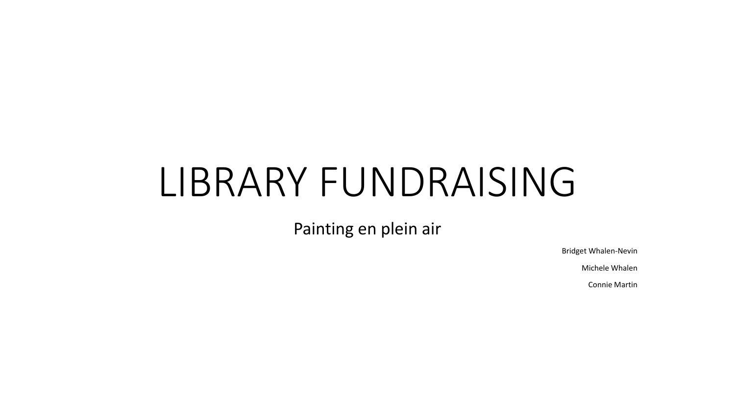# LIBRARY FUNDRAISING

Painting en plein air

Bridget Whalen-Nevin

Michele Whalen

Connie Martin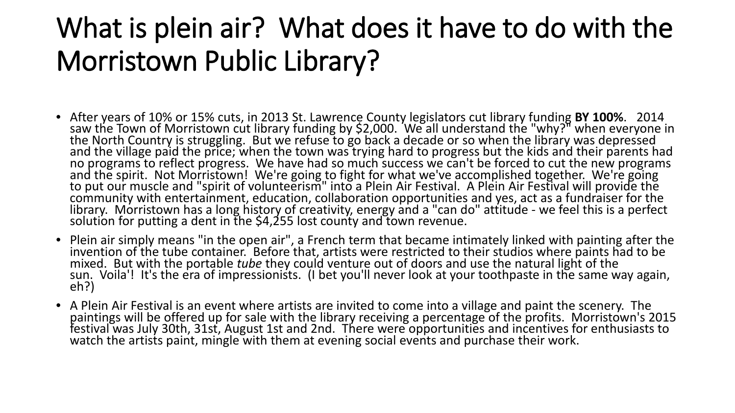# What is plein air? What does it have to do with the Morristown Public Library?

- After years of 10% or 15% cuts, in 2013 St. Lawrence County legislators cut library funding **BY 100%**. 2014 saw the Town of Morristown cut library funding by \$2,000. 'We all understand the "why?" when everyone in<br>the North Country is struggling. But we refuse to go back a decade or so when the library was depressed<br>and the villa and the village paid the price; when the town was trying hard to progress but the kids and their parents had no programs to reflect progress. We have had so much success we can't be forced to cut the new programs and the s to put our muscle and "spirit of volunteerism" into a Plein Air Festival. A Plein Air Festival will provide the<br>community with entertainment, education, collaboration opportunities and yes, act as a fundraiser for the library. Morristown has a long history of creativity, energy and a "can do" attitude - we feel this is a perfect<br>solution for putting a dent in the \$4,255 lost county and town revenue.
- Plein air simply means "in the open air", a French term that became intimately linked with painting after the invention of the tube container. Before that, artists were restricted to their studios where paints had to be mixed. But with the portable *tube* they could venture out of doors and use the natural light of the sun. Voila'! It's the era of impressionists. (I bet you'll never look at your toothpaste in the same way again,<br>eh?)
- A Plein Air Festival is an event where artists are invited to come into a village and paint the scenery. The paintings will be offered up for sale with the library receiving a percentage of the profits. Morristown's 2015 festival was July 30th, 31st, August 1st and 2nd. There were opportunities and incentives for enthusiasts to watch the artists paint, mingle with them at evening social events and purchase their work.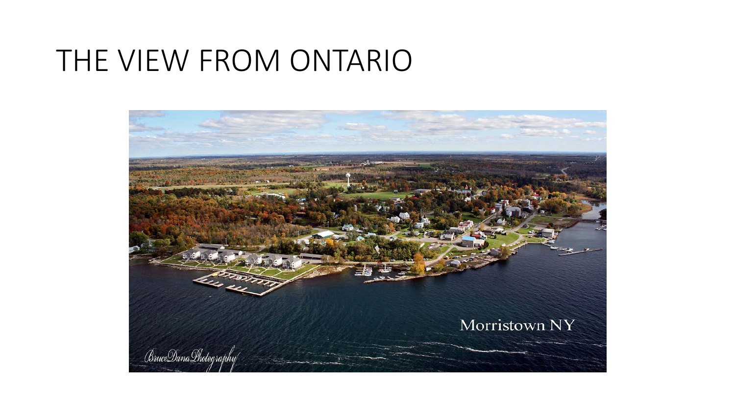#### THE VIEW FROM ONTARIO

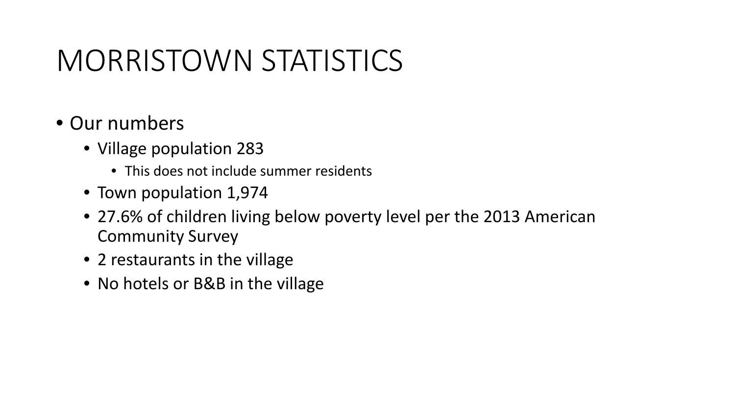# MORRISTOWN STATISTICS

- Our numbers
	- Village population 283
		- This does not include summer residents
	- Town population 1,974
	- 27.6% of children living below poverty level per the 2013 American Community Survey
	- 2 restaurants in the village
	- No hotels or B&B in the village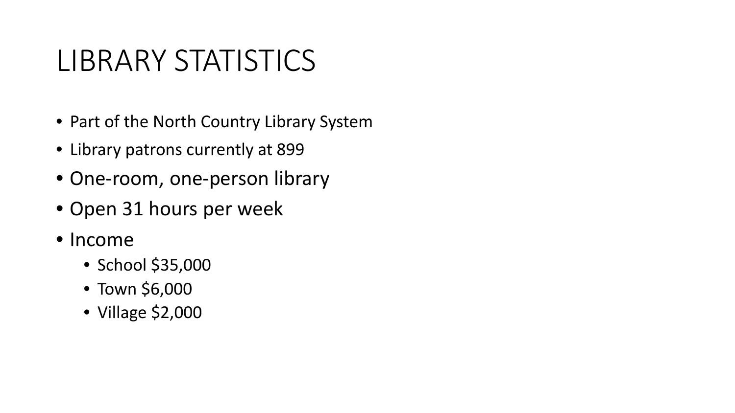# LIBRARY STATISTICS

- Part of the North Country Library System
- Library patrons currently at 899
- One-room, one-person library
- Open 31 hours per week
- Income
	- School \$35,000
	- Town \$6,000
	- Village \$2,000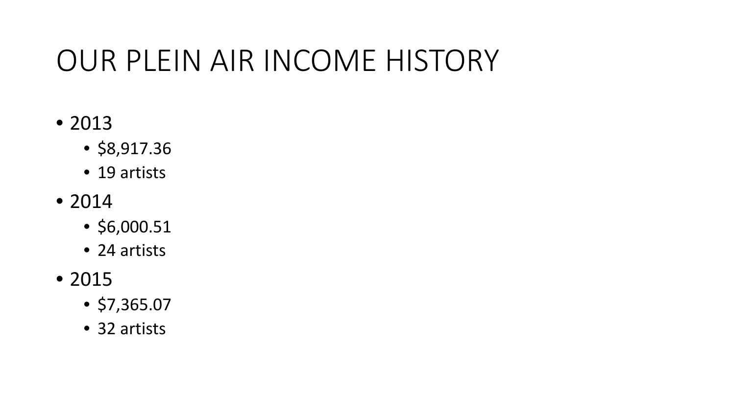# OUR PLEIN AIR INCOME HISTORY

- 2013
	- \$8,917.36
	- 19 artists
- 2014
	- \$6,000.51
	- 24 artists
- 2015
	- \$7,365.07
	- 32 artists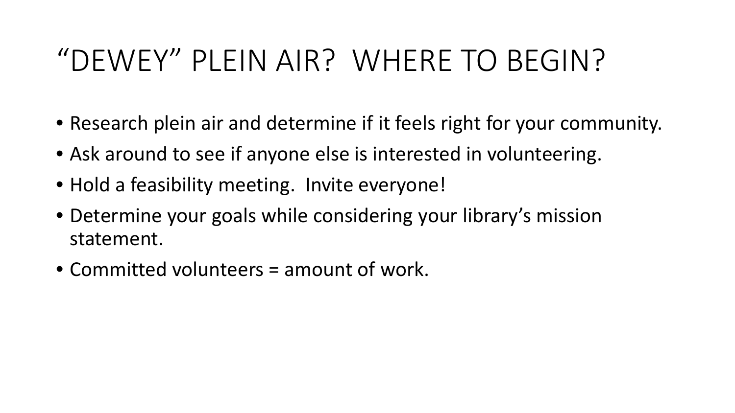# "DEWEY" PLEIN AIR? WHERE TO BEGIN?

- Research plein air and determine if it feels right for your community.
- Ask around to see if anyone else is interested in volunteering.
- Hold a feasibility meeting. Invite everyone!
- Determine your goals while considering your library's mission statement.
- Committed volunteers = amount of work.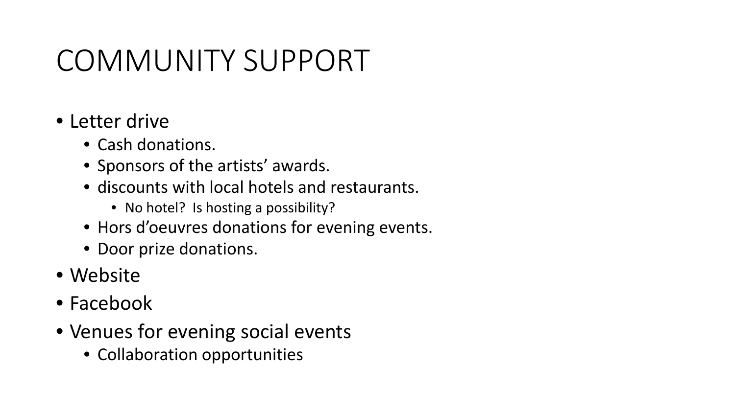# COMMUNITY SUPPORT

- Letter drive
	- Cash donations.
	- Sponsors of the artists' awards.
	- discounts with local hotels and restaurants.
		- No hotel? Is hosting a possibility?
	- Hors d'oeuvres donations for evening events.
	- Door prize donations.
- Website
- Facebook
- Venues for evening social events
	- Collaboration opportunities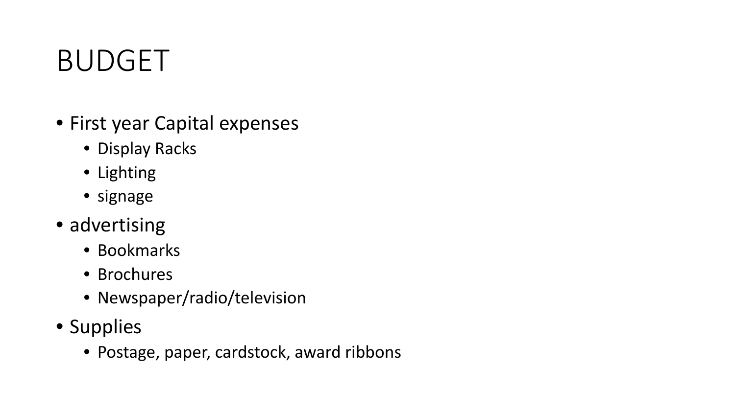# BUDGET

- First year Capital expenses
	- Display Racks
	- Lighting
	- signage
- advertising
	- Bookmarks
	- Brochures
	- Newspaper/radio/television
- Supplies
	- Postage, paper, cardstock, award ribbons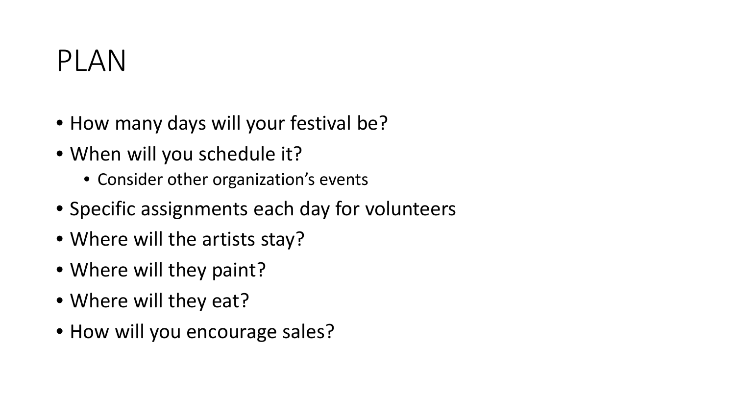# PLAN

- How many days will your festival be?
- When will you schedule it?
	- Consider other organization's events
- Specific assignments each day for volunteers
- Where will the artists stay?
- Where will they paint?
- Where will they eat?
- How will you encourage sales?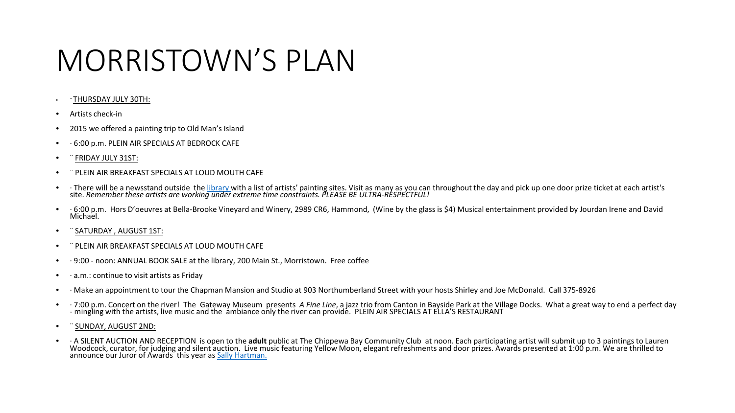## MORRISTOWN'S PLAN

#### • ¨ THURSDAY JULY 30TH:

- Artists check-in
- 2015 we offered a painting trip to Old Man's Island
- · 6:00 p.m. PLEIN AIR SPECIALS AT BEDROCK CAFE
- ¨ FRIDAY JULY 31ST:
- ¨ PLEIN AIR BREAKFAST SPECIALS AT LOUD MOUTH CAFE
- There will be a newsstand outside the [library w](http://www.morristownpubliclibrary.org/)ith a list of artists' painting sites. Visit as many as you can throughout the day and pick up one door prize ticket at each artist's site. *Remember these artists are working under extreme time constraints. PLEASE BE ULTRA-RESPECTFUL!*
- G:00 p.m. Hors D'oeuvres at Bella-Brooke Vineyard and Winery, 2989 CR6, Hammond, (Wine by the glass is \$4) Musical entertainment provided by Jourdan Irene and David Michael.
- SATURDAY , AUGUST 1ST:
- ¨ PLEIN AIR BREAKFAST SPECIALS AT LOUD MOUTH CAFE
- · 9:00 noon: ANNUAL BOOK SALE at the library, 200 Main St., Morristown. Free coffee
- $\cdot$  a.m.: continue to visit artists as Friday
- · Make an appointment to tour the Chapman Mansion and Studio at 903 Northumberland Street with your hosts Shirley and Joe McDonald. Call 375-8926
- · 7:00 p.m. Concert on the river! The Gateway Museum presents A Fine Line, a jazz trio from Canton in Bayside Park at the Village Docks. What a great way to end a perfect day<br>- mingling with the artists, live music and the
- ¨ SUNDAY, AUGUST 2ND:
- A SILENT AUCTION AND RECEPTION is open to the **adult** public at The Chippewa Bay Community Club at noon. Each participating artist will submit up to 3 paintings to Lauren<br>Woodcock, curator, for judging and silent auction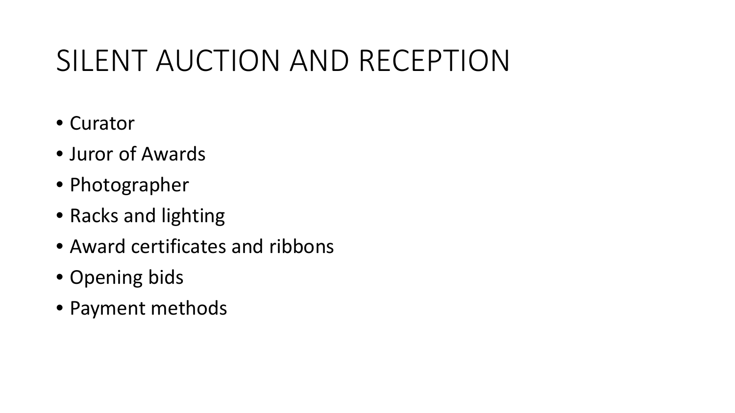# SILENT AUCTION AND RECEPTION

- Curator
- Juror of Awards
- Photographer
- Racks and lighting
- Award certificates and ribbons
- Opening bids
- Payment methods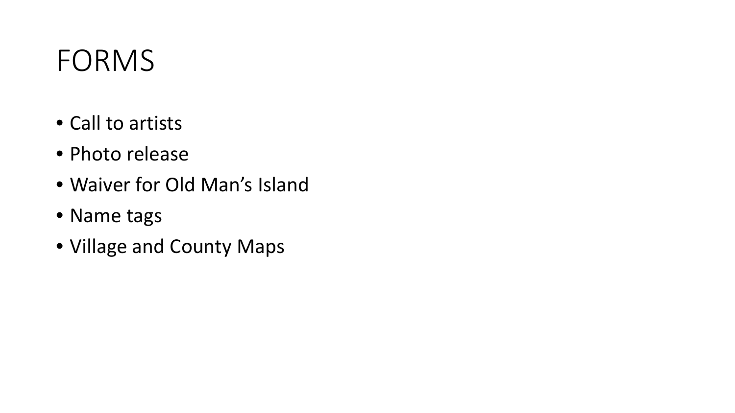#### **FORMS**

- Call to artists
- Photo release
- Waiver for Old Man's Island
- Name tags
- Village and County Maps